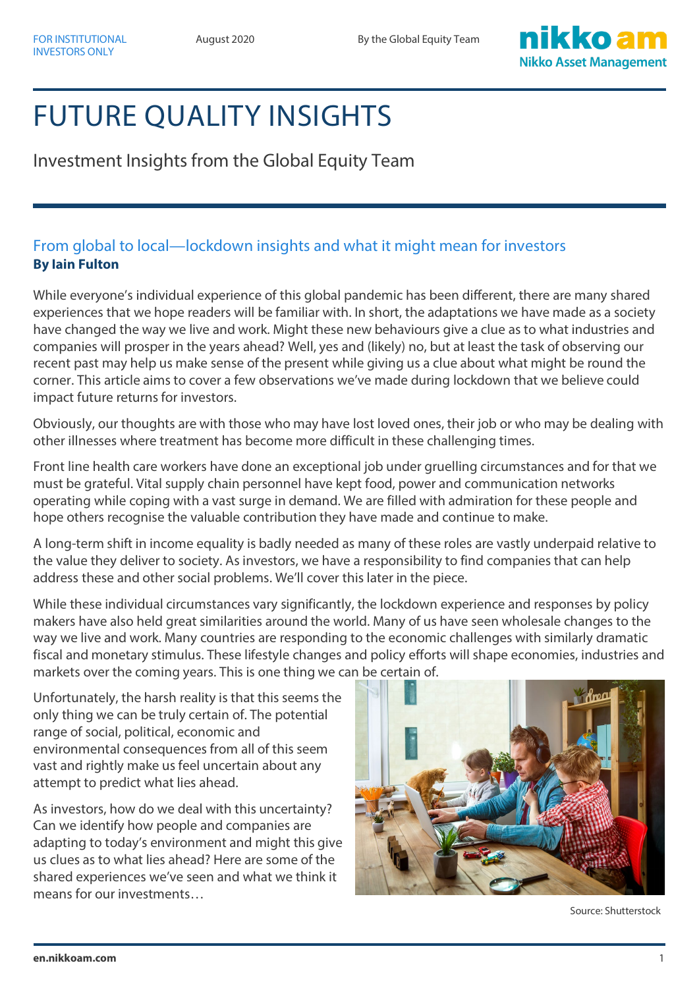

# FUTURE QUALITY INSIGHTS

Investment Insights from the Global Equity Team

# From global to local—lockdown insights and what it might mean for investors **By Iain Fulton**

While everyone's individual experience of this global pandemic has been different, there are many shared experiences that we hope readers will be familiar with. In short, the adaptations we have made as a society have changed the way we live and work. Might these new behaviours give a clue as to what industries and companies will prosper in the years ahead? Well, yes and (likely) no, but at least the task of observing our recent past may help us make sense of the present while giving us a clue about what might be round the corner. This article aims to cover a few observations we've made during lockdown that we believe could impact future returns for investors.

Obviously, our thoughts are with those who may have lost loved ones, their job or who may be dealing with other illnesses where treatment has become more difficult in these challenging times.

Front line health care workers have done an exceptional job under gruelling circumstances and for that we must be grateful. Vital supply chain personnel have kept food, power and communication networks operating while coping with a vast surge in demand. We are filled with admiration for these people and hope others recognise the valuable contribution they have made and continue to make.

A long-term shift in income equality is badly needed as many of these roles are vastly underpaid relative to the value they deliver to society. As investors, we have a responsibility to find companies that can help address these and other social problems. We'll cover this later in the piece.

While these individual circumstances vary significantly, the lockdown experience and responses by policy makers have also held great similarities around the world. Many of us have seen wholesale changes to the way we live and work. Many countries are responding to the economic challenges with similarly dramatic fiscal and monetary stimulus. These lifestyle changes and policy efforts will shape economies, industries and markets over the coming years. This is one thing we can be certain of.

Unfortunately, the harsh reality is that this seems the only thing we can be truly certain of. The potential range of social, political, economic and environmental consequences from all of this seem vast and rightly make us feel uncertain about any attempt to predict what lies ahead.

As investors, how do we deal with this uncertainty? Can we identify how people and companies are adapting to today's environment and might this give us clues as to what lies ahead? Here are some of the shared experiences we've seen and what we think it means for our investments…



Source: Shutterstock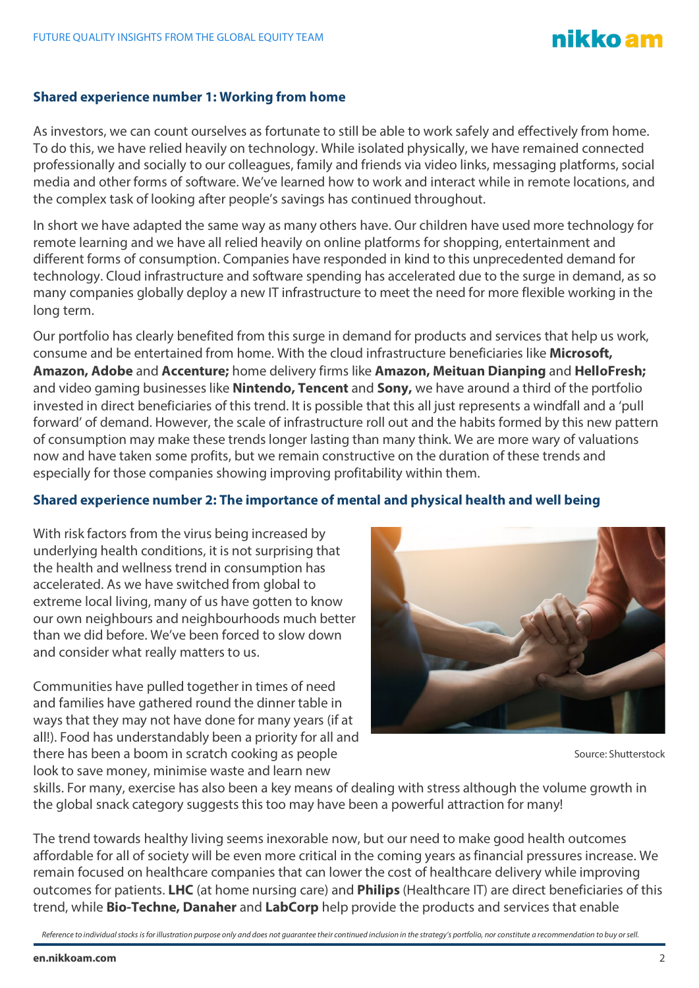# nikko am

## **Shared experience number 1: Working from home**

As investors, we can count ourselves as fortunate to still be able to work safely and effectively from home. To do this, we have relied heavily on technology. While isolated physically, we have remained connected professionally and socially to our colleagues, family and friends via video links, messaging platforms, social media and other forms of software. We've learned how to work and interact while in remote locations, and the complex task of looking after people's savings has continued throughout.

In short we have adapted the same way as many others have. Our children have used more technology for remote learning and we have all relied heavily on online platforms for shopping, entertainment and different forms of consumption. Companies have responded in kind to this unprecedented demand for technology. Cloud infrastructure and software spending has accelerated due to the surge in demand, as so many companies globally deploy a new IT infrastructure to meet the need for more flexible working in the long term.

Our portfolio has clearly benefited from this surge in demand for products and services that help us work, consume and be entertained from home. With the cloud infrastructure beneficiaries like **Microsoft, Amazon, Adobe** and **Accenture;** home delivery firms like **Amazon, Meituan Dianping** and **HelloFresh;** and video gaming businesses like **Nintendo, Tencent** and **Sony,** we have around a third of the portfolio invested in direct beneficiaries of this trend. It is possible that this all just represents a windfall and a 'pull forward' of demand. However, the scale of infrastructure roll out and the habits formed by this new pattern of consumption may make these trends longer lasting than many think. We are more wary of valuations now and have taken some profits, but we remain constructive on the duration of these trends and especially for those companies showing improving profitability within them.

# **Shared experience number 2: The importance of mental and physical health and well being**

With risk factors from the virus being increased by underlying health conditions, it is not surprising that the health and wellness trend in consumption has accelerated. As we have switched from global to extreme local living, many of us have gotten to know our own neighbours and neighbourhoods much better than we did before. We've been forced to slow down and consider what really matters to us.

Communities have pulled together in times of need and families have gathered round the dinner table in ways that they may not have done for many years (if at all!). Food has understandably been a priority for all and there has been a boom in scratch cooking as people look to save money, minimise waste and learn new



Source: Shutterstock

skills. For many, exercise has also been a key means of dealing with stress although the volume growth in the global snack category suggests this too may have been a powerful attraction for many!

The trend towards healthy living seems inexorable now, but our need to make good health outcomes affordable for all of society will be even more critical in the coming years as financial pressures increase. We remain focused on healthcare companies that can lower the cost of healthcare delivery while improving outcomes for patients. **LHC** (at home nursing care) and **Philips** (Healthcare IT) are direct beneficiaries of this trend, while **Bio-Techne, Danaher** and **LabCorp** help provide the products and services that enable

*Reference to individual stocks is for illustration purpose only and does not guarantee their continued inclusion in the strategy's portfolio, nor constitute a recommendation to buy or sell.*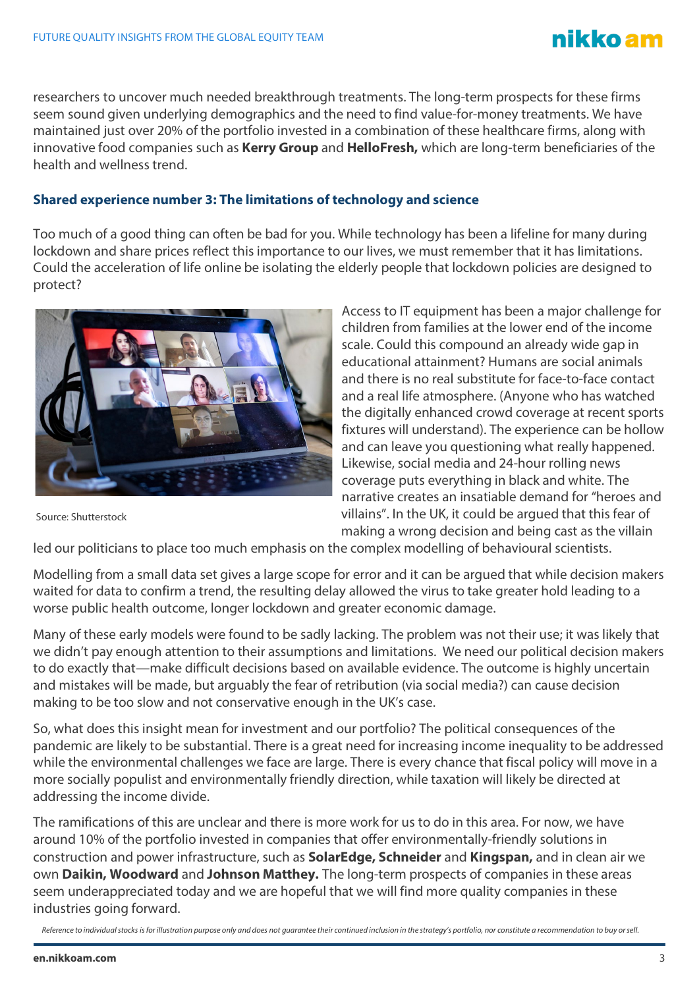

#### **Shared experience number 3: The limitations of technology and science**

Too much of a good thing can often be bad for you. While technology has been a lifeline for many during lockdown and share prices reflect this importance to our lives, we must remember that it has limitations. Could the acceleration of life online be isolating the elderly people that lockdown policies are designed to protect?



Access to IT equipment has been a major challenge for children from families at the lower end of the income scale. Could this compound an already wide gap in educational attainment? Humans are social animals and there is no real substitute for face-to-face contact and a real life atmosphere. (Anyone who has watched the digitally enhanced crowd coverage at recent sports fixtures will understand). The experience can be hollow and can leave you questioning what really happened. Likewise, social media and 24-hour rolling news coverage puts everything in black and white. The narrative creates an insatiable demand for "heroes and villains". In the UK, it could be argued that this fear of making a wrong decision and being cast as the villain

nikko am

Source: Shutterstock

led our politicians to place too much emphasis on the complex modelling of behavioural scientists.

Modelling from a small data set gives a large scope for error and it can be argued that while decision makers waited for data to confirm a trend, the resulting delay allowed the virus to take greater hold leading to a worse public health outcome, longer lockdown and greater economic damage.

Many of these early models were found to be sadly lacking. The problem was not their use; it was likely that we didn't pay enough attention to their assumptions and limitations. We need our political decision makers to do exactly that—make difficult decisions based on available evidence. The outcome is highly uncertain and mistakes will be made, but arguably the fear of retribution (via social media?) can cause decision making to be too slow and not conservative enough in the UK's case.

So, what does this insight mean for investment and our portfolio? The political consequences of the pandemic are likely to be substantial. There is a great need for increasing income inequality to be addressed while the environmental challenges we face are large. There is every chance that fiscal policy will move in a more socially populist and environmentally friendly direction, while taxation will likely be directed at addressing the income divide.

The ramifications of this are unclear and there is more work for us to do in this area. For now, we have around 10% of the portfolio invested in companies that offer environmentally-friendly solutions in construction and power infrastructure, such as **SolarEdge, Schneider** and **Kingspan,** and in clean air we own **Daikin, Woodward** and **Johnson Matthey.** The long-term prospects of companies in these areas seem underappreciated today and we are hopeful that we will find more quality companies in these industries going forward.

Reference to individual stocks is for illustration purpose only and does not guarantee their continued inclusion in the strategy's portfolio, nor constitute a recommendation to buy or sell.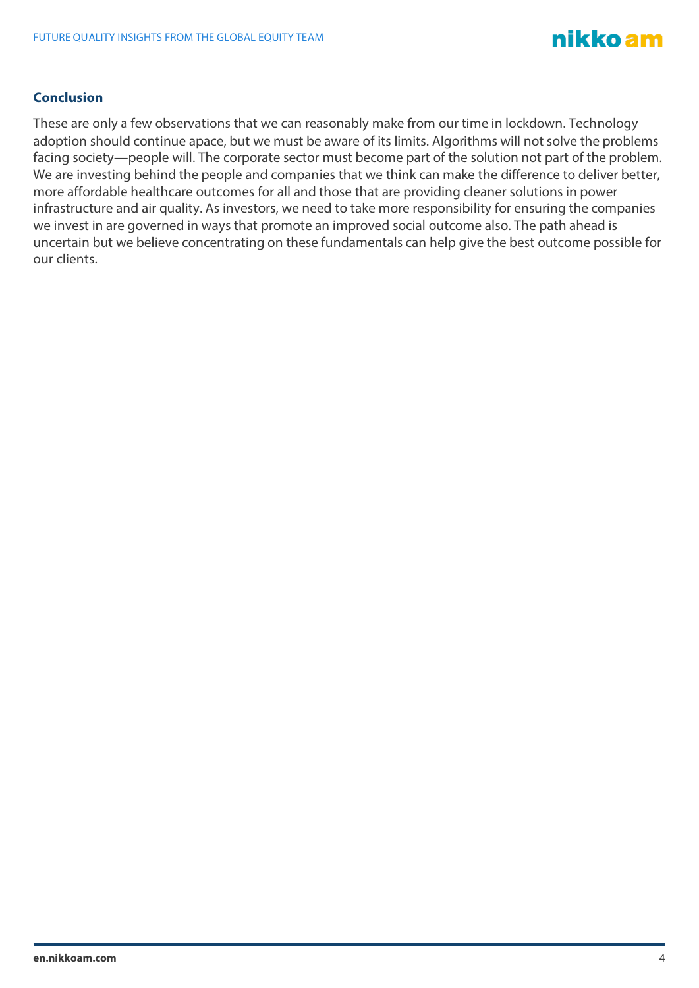

# **Conclusion**

These are only a few observations that we can reasonably make from our time in lockdown. Technology adoption should continue apace, but we must be aware of its limits. Algorithms will not solve the problems facing society—people will. The corporate sector must become part of the solution not part of the problem. We are investing behind the people and companies that we think can make the difference to deliver better, more affordable healthcare outcomes for all and those that are providing cleaner solutions in power infrastructure and air quality. As investors, we need to take more responsibility for ensuring the companies we invest in are governed in ways that promote an improved social outcome also. The path ahead is uncertain but we believe concentrating on these fundamentals can help give the best outcome possible for our clients.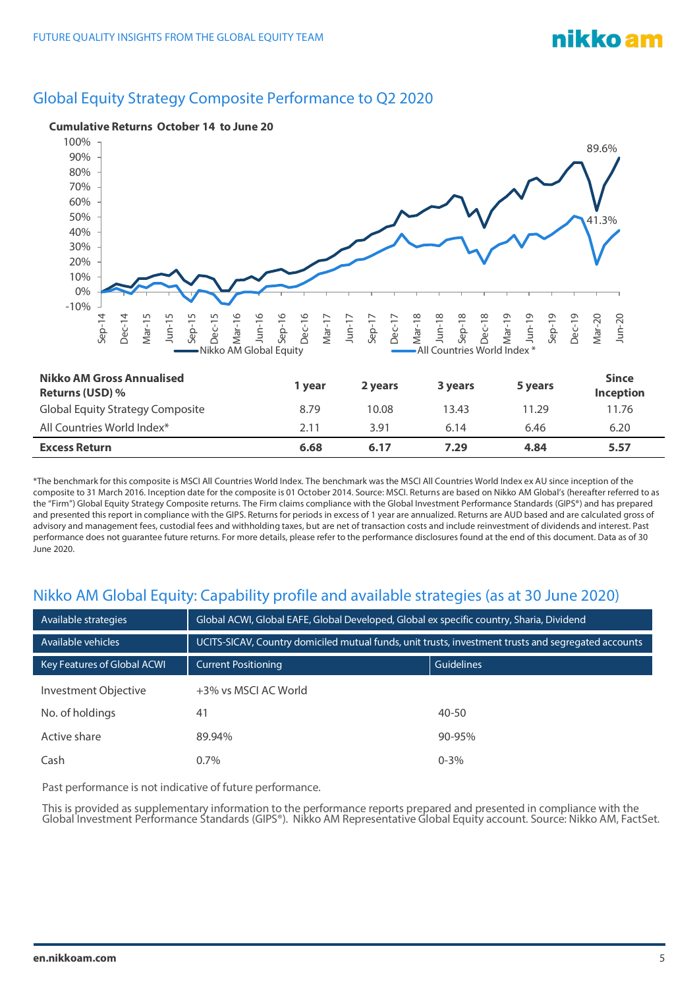# Global Equity Strategy Composite Performance to Q2 2020



#### \*The benchmark for this composite is MSCI All Countries World Index. The benchmark was the MSCI All Countries World Index ex AU since inception of the composite to 31 March 2016. Inception date for the composite is 01 October 2014. Source: MSCI. Returns are based on Nikko AM Global's (hereafter referred to as the "Firm") Global Equity Strategy Composite returns. The Firm claims compliance with the Global Investment Performance Standards (GIPS®) and has prepared and presented this report in compliance with the GIPS. Returns for periods in excess of 1 year are annualized. Returns are AUD based and are calculated gross of advisory and management fees, custodial fees and withholding taxes, but are net of transaction costs and include reinvestment of dividends and interest. Past performance does not guarantee future returns. For more details, please refer to the performance disclosures found at the end of this document. Data as of 30 June 2020.

# Nikko AM Global Equity: Capability profile and available strategies (as at 30 June 2020)

| Available strategies        | Global ACWI, Global EAFE, Global Developed, Global ex specific country, Sharia, Dividend            |                   |
|-----------------------------|-----------------------------------------------------------------------------------------------------|-------------------|
| Available vehicles          | UCITS-SICAV, Country domiciled mutual funds, unit trusts, investment trusts and segregated accounts |                   |
| Key Features of Global ACWI | <b>Current Positioning</b>                                                                          | <b>Guidelines</b> |
| Investment Objective        | +3% vs MSCI AC World                                                                                |                   |
| No. of holdings             | 41                                                                                                  | $40 - 50$         |
| Active share                | 89.94%                                                                                              | 90-95%            |
| Cash                        | $0.7\%$                                                                                             | $0 - 3\%$         |

Past performance is not indicative of future performance.

This is provided as supplementary information to the performance reports prepared and presented in compliance with the Global Investment Performance Standards (GIPS®). Nikko AM Representative Global Equity account. Source: Nikko AM, FactSet.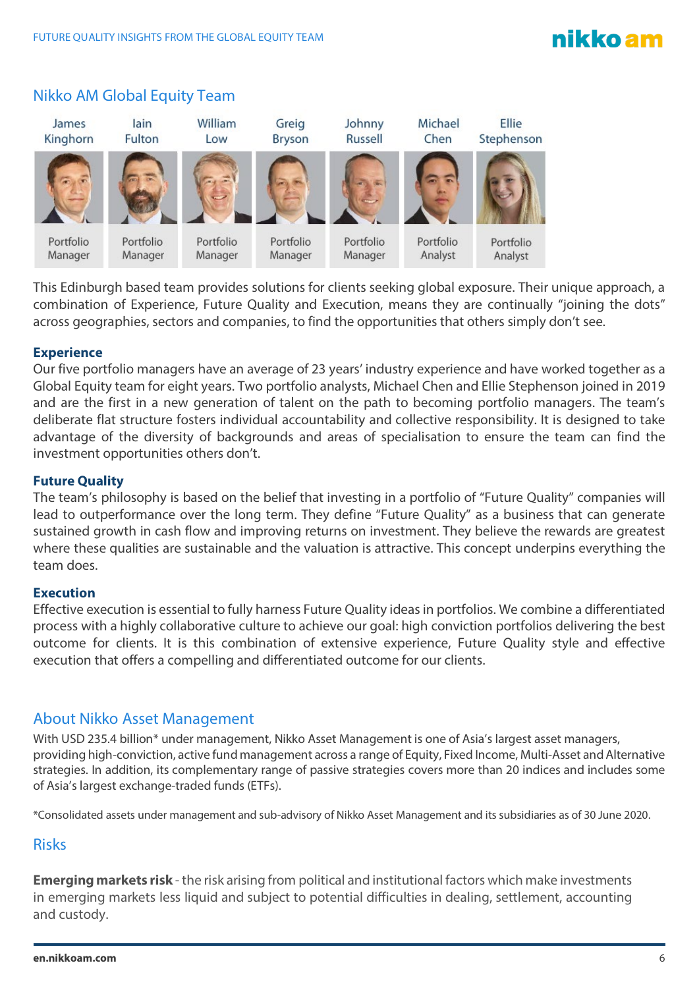# nikko am



# Nikko AM Global Equity Team

This Edinburgh based team provides solutions for clients seeking global exposure. Their unique approach, a combination of Experience, Future Quality and Execution, means they are continually "joining the dots" across geographies, sectors and companies, to find the opportunities that others simply don't see.

#### **Experience**

Our five portfolio managers have an average of 23 years' industry experience and have worked together as a Global Equity team for eight years. Two portfolio analysts, Michael Chen and Ellie Stephenson joined in 2019 and are the first in a new generation of talent on the path to becoming portfolio managers. The team's deliberate flat structure fosters individual accountability and collective responsibility. It is designed to take advantage of the diversity of backgrounds and areas of specialisation to ensure the team can find the investment opportunities others don't.

#### **Future Quality**

The team's philosophy is based on the belief that investing in a portfolio of "Future Quality" companies will lead to outperformance over the long term. They define "Future Quality" as a business that can generate sustained growth in cash flow and improving returns on investment. They believe the rewards are greatest where these qualities are sustainable and the valuation is attractive. This concept underpins everything the team does.

#### **Execution**

Effective execution is essential to fully harness Future Quality ideas in portfolios. We combine a differentiated process with a highly collaborative culture to achieve our goal: high conviction portfolios delivering the best outcome for clients. It is this combination of extensive experience, Future Quality style and effective execution that offers a compelling and differentiated outcome for our clients.

# About Nikko Asset Management

With USD 235.4 billion\* under management, Nikko Asset Management is one of Asia's largest asset managers, providing high-conviction, active fund management across a range of Equity, Fixed Income, Multi-Asset and Alternative strategies. In addition, its complementary range of passive strategies covers more than 20 indices and includes some of Asia's largest exchange-traded funds (ETFs).

\*Consolidated assets under management and sub-advisory of Nikko Asset Management and its subsidiaries as of 30 June 2020.

# Risks

**Emerging markets risk** - the risk arising from political and institutional factors which make investments in emerging markets less liquid and subject to potential difficulties in dealing, settlement, accounting and custody.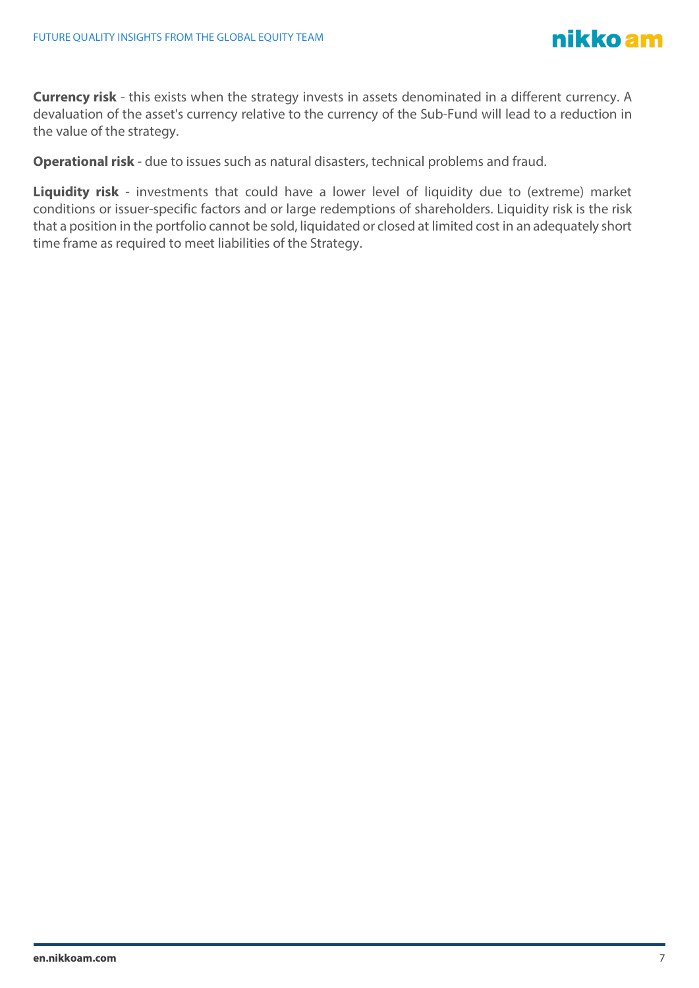

**Currency risk** - this exists when the strategy invests in assets denominated in a different currency. A devaluation of the asset's currency relative to the currency of the Sub-Fund will lead to a reduction in the value of the strategy.

**Operational risk** - due to issues such as natural disasters, technical problems and fraud.

**Liquidity risk** - investments that could have a lower level of liquidity due to (extreme) market conditions or issuer-specific factors and or large redemptions of shareholders. Liquidity risk is the risk that a position in the portfolio cannot be sold, liquidated or closed at limited cost in an adequately short time frame as required to meet liabilities of the Strategy.